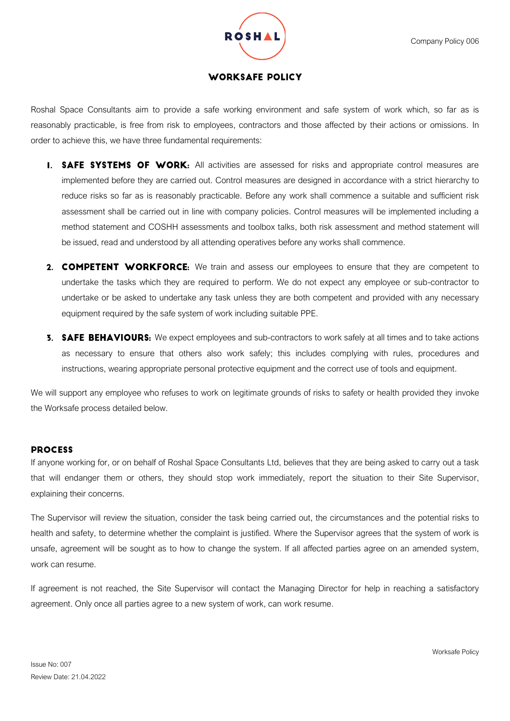

## **WORKSAFE POLICY**

Roshal Space Consultants aim to provide a safe working environment and safe system of work which, so far as is reasonably practicable, is free from risk to employees, contractors and those affected by their actions or omissions. In order to achieve this, we have three fundamental requirements:

- **I. SAFE SYSTEMS OF WORK:** All activities are assessed for risks and appropriate control measures are implemented before they are carried out. Control measures are designed in accordance with a strict hierarchy to reduce risks so far as is reasonably practicable. Before any work shall commence a suitable and sufficient risk assessment shall be carried out in line with company policies. Control measures will be implemented including a method statement and COSHH assessments and toolbox talks, both risk assessment and method statement will be issued, read and understood by all attending operatives before any works shall commence.
- 2. COMPETENT WORKFORCE: We train and assess our employees to ensure that they are competent to undertake the tasks which they are required to perform. We do not expect any employee or sub-contractor to undertake or be asked to undertake any task unless they are both competent and provided with any necessary equipment required by the safe system of work including suitable PPE.
- **3. SAFE BEHAVIOURS:** We expect employees and sub-contractors to work safely at all times and to take actions as necessary to ensure that others also work safely; this includes complying with rules, procedures and instructions, wearing appropriate personal protective equipment and the correct use of tools and equipment.

We will support any employee who refuses to work on legitimate grounds of risks to safety or health provided they invoke the Worksafe process detailed below.

## **PROCESS**

If anyone working for, or on behalf of Roshal Space Consultants Ltd, believes that they are being asked to carry out a task that will endanger them or others, they should stop work immediately, report the situation to their Site Supervisor, explaining their concerns.

The Supervisor will review the situation, consider the task being carried out, the circumstances and the potential risks to health and safety, to determine whether the complaint is justified. Where the Supervisor agrees that the system of work is unsafe, agreement will be sought as to how to change the system. If all affected parties agree on an amended system, work can resume.

If agreement is not reached, the Site Supervisor will contact the Managing Director for help in reaching a satisfactory agreement. Only once all parties agree to a new system of work, can work resume.